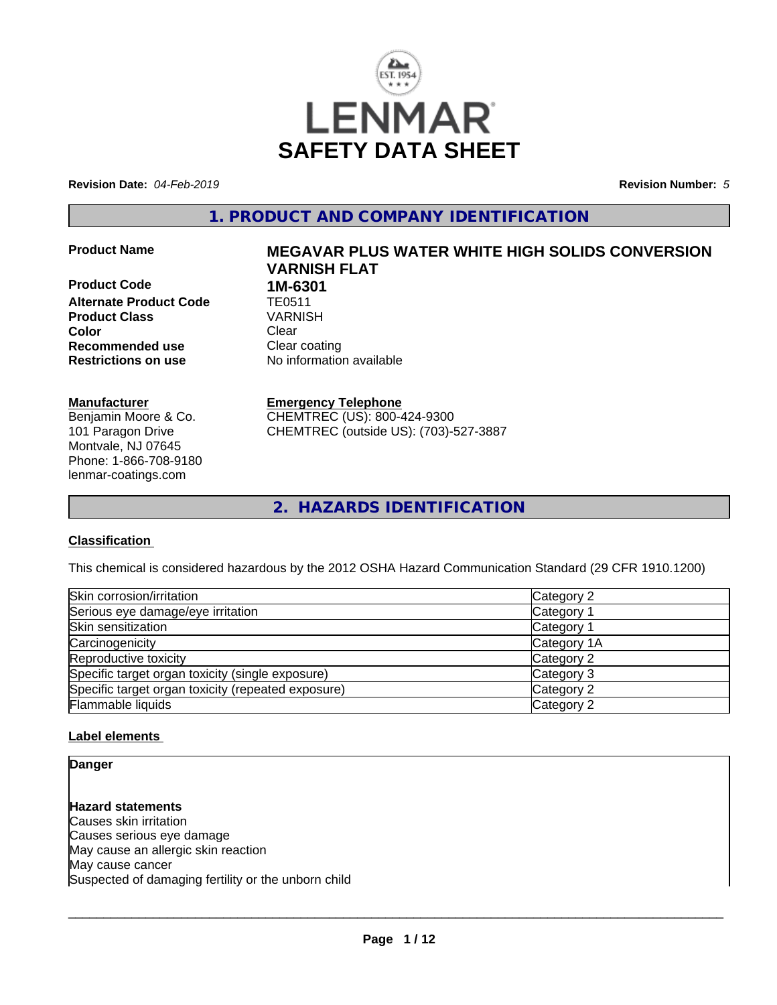

**Revision Date:** *04-Feb-2019* **Revision Number:** *5*

**1. PRODUCT AND COMPANY IDENTIFICATION**

**Product Code 1M-6301<br>Alternate Product Code 1E0511 Alternate Product Code TE0511**<br>Product Class VARNISH **Product Class Color** Clear Clear **Recommended use** Clear coating **Restrictions on use** No information available

#### **Manufacturer**

Benjamin Moore & Co. 101 Paragon Drive Montvale, NJ 07645 Phone: 1-866-708-9180 lenmar-coatings.com

# **Product Name MEGAVAR PLUS WATER WHITE HIGH SOLIDS CONVERSION VARNISH FLAT**

**Emergency Telephone** CHEMTREC (US): 800-424-9300

CHEMTREC (outside US): (703)-527-3887

**2. HAZARDS IDENTIFICATION**

#### **Classification**

This chemical is considered hazardous by the 2012 OSHA Hazard Communication Standard (29 CFR 1910.1200)

| Skin corrosion/irritation                          | Category 2  |
|----------------------------------------------------|-------------|
| Serious eye damage/eye irritation                  | Category 1  |
| Skin sensitization                                 | Category 1  |
| Carcinogenicity                                    | Category 1A |
| Reproductive toxicity                              | Category 2  |
| Specific target organ toxicity (single exposure)   | Category 3  |
| Specific target organ toxicity (repeated exposure) | Category 2  |
| Flammable liquids                                  | Category 2  |

#### **Label elements**

**Danger**

**Hazard statements** Causes skin irritation Causes serious eye damage May cause an allergic skin reaction May cause cancer Suspected of damaging fertility or the unborn child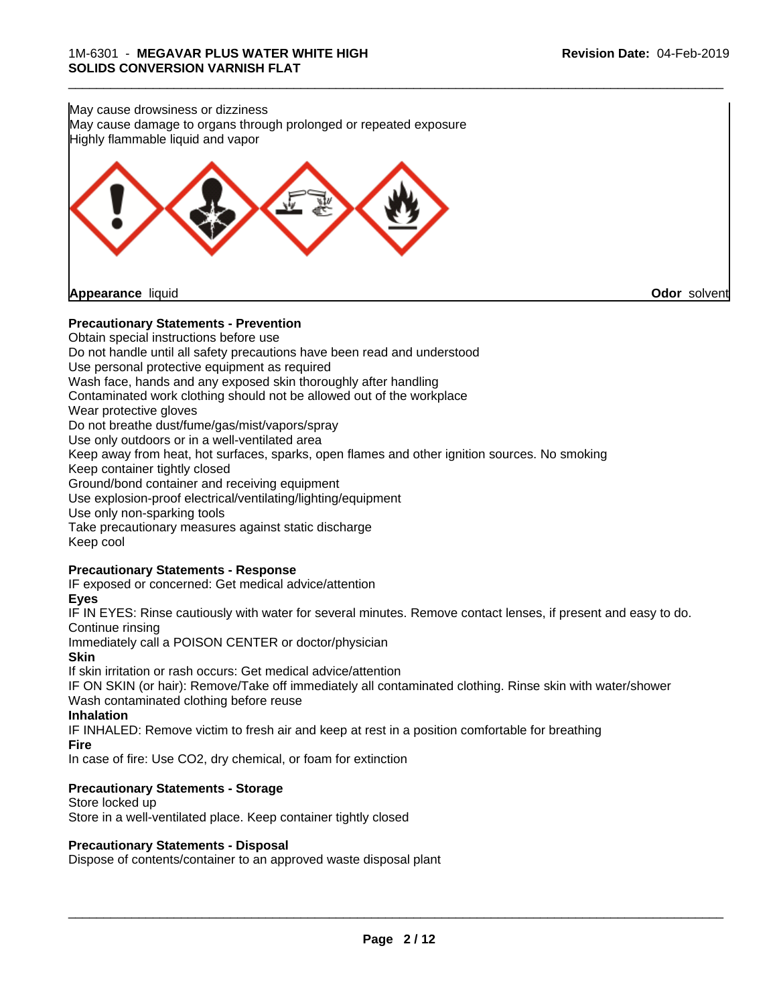

#### **Precautionary Statements - Prevention**

Obtain special instructions before use Do not handle until all safety precautions have been read and understood Use personal protective equipment as required Wash face, hands and any exposed skin thoroughly after handling Contaminated work clothing should not be allowed out of the workplace Wear protective gloves Do not breathe dust/fume/gas/mist/vapors/spray Use only outdoors or in a well-ventilated area Keep away from heat, hot surfaces, sparks, open flames and other ignition sources. No smoking Keep container tightly closed Ground/bond container and receiving equipment Use explosion-proof electrical/ventilating/lighting/equipment Use only non-sparking tools Take precautionary measures against static discharge Keep cool **Precautionary Statements - Response** IF exposed or concerned: Get medical advice/attention **Eyes**

IF IN EYES: Rinse cautiously with water for several minutes. Remove contact lenses, if present and easy to do. Continue rinsing

Immediately call a POISON CENTER or doctor/physician

#### **Skin**

If skin irritation or rash occurs: Get medical advice/attention

IF ON SKIN (or hair): Remove/Take off immediately all contaminated clothing. Rinse skin with water/shower Wash contaminated clothing before reuse

#### **Inhalation**

IF INHALED: Remove victim to fresh air and keep atrest in a position comfortable for breathing **Fire**

In case of fire: Use CO2, dry chemical, or foam for extinction

#### **Precautionary Statements - Storage**

Store locked up Store in a well-ventilated place. Keep container tightly closed

#### **Precautionary Statements - Disposal**

Dispose of contents/container to an approved waste disposal plant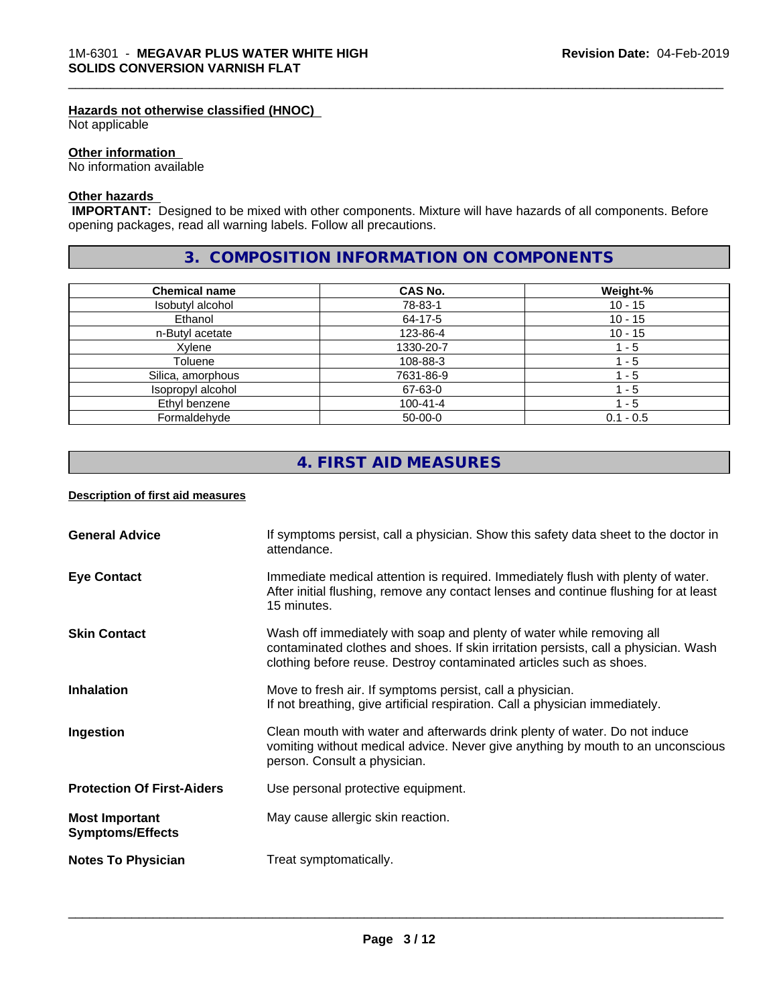#### **Hazards not otherwise classified (HNOC)**

Not applicable

#### **Other information**

No information available

#### **Other hazards**

 **IMPORTANT:** Designed to be mixed with other components. Mixture will have hazards of all components. Before opening packages, read all warning labels. Follow all precautions.

# **3. COMPOSITION INFORMATION ON COMPONENTS**

\_\_\_\_\_\_\_\_\_\_\_\_\_\_\_\_\_\_\_\_\_\_\_\_\_\_\_\_\_\_\_\_\_\_\_\_\_\_\_\_\_\_\_\_\_\_\_\_\_\_\_\_\_\_\_\_\_\_\_\_\_\_\_\_\_\_\_\_\_\_\_\_\_\_\_\_\_\_\_\_\_\_\_\_\_\_\_\_\_\_\_\_\_

| <b>Chemical name</b> | <b>CAS No.</b> | Weight-%    |
|----------------------|----------------|-------------|
| Isobutyl alcohol     | 78-83-1        | $10 - 15$   |
| Ethanol              | 64-17-5        | $10 - 15$   |
| n-Butyl acetate      | 123-86-4       | $10 - 15$   |
| Xvlene               | 1330-20-7      | $-5$        |
| Toluene              | 108-88-3       | l - 5       |
| Silica, amorphous    | 7631-86-9      | 1 - 5       |
| Isopropyl alcohol    | 67-63-0        | - 5         |
| Ethyl benzene        | $100 - 41 - 4$ | - 5         |
| Formaldehyde         | $50-00-0$      | $0.1 - 0.5$ |

# **4. FIRST AID MEASURES**

#### **Description of first aid measures**

| <b>General Advice</b>                            | If symptoms persist, call a physician. Show this safety data sheet to the doctor in<br>attendance.                                                                                                                                  |
|--------------------------------------------------|-------------------------------------------------------------------------------------------------------------------------------------------------------------------------------------------------------------------------------------|
| <b>Eye Contact</b>                               | Immediate medical attention is required. Immediately flush with plenty of water.<br>After initial flushing, remove any contact lenses and continue flushing for at least<br>15 minutes.                                             |
| <b>Skin Contact</b>                              | Wash off immediately with soap and plenty of water while removing all<br>contaminated clothes and shoes. If skin irritation persists, call a physician. Wash<br>clothing before reuse. Destroy contaminated articles such as shoes. |
| <b>Inhalation</b>                                | Move to fresh air. If symptoms persist, call a physician.<br>If not breathing, give artificial respiration. Call a physician immediately.                                                                                           |
| Ingestion                                        | Clean mouth with water and afterwards drink plenty of water. Do not induce<br>vomiting without medical advice. Never give anything by mouth to an unconscious<br>person. Consult a physician.                                       |
| <b>Protection Of First-Aiders</b>                | Use personal protective equipment.                                                                                                                                                                                                  |
| <b>Most Important</b><br><b>Symptoms/Effects</b> | May cause allergic skin reaction.                                                                                                                                                                                                   |
| <b>Notes To Physician</b>                        | Treat symptomatically.                                                                                                                                                                                                              |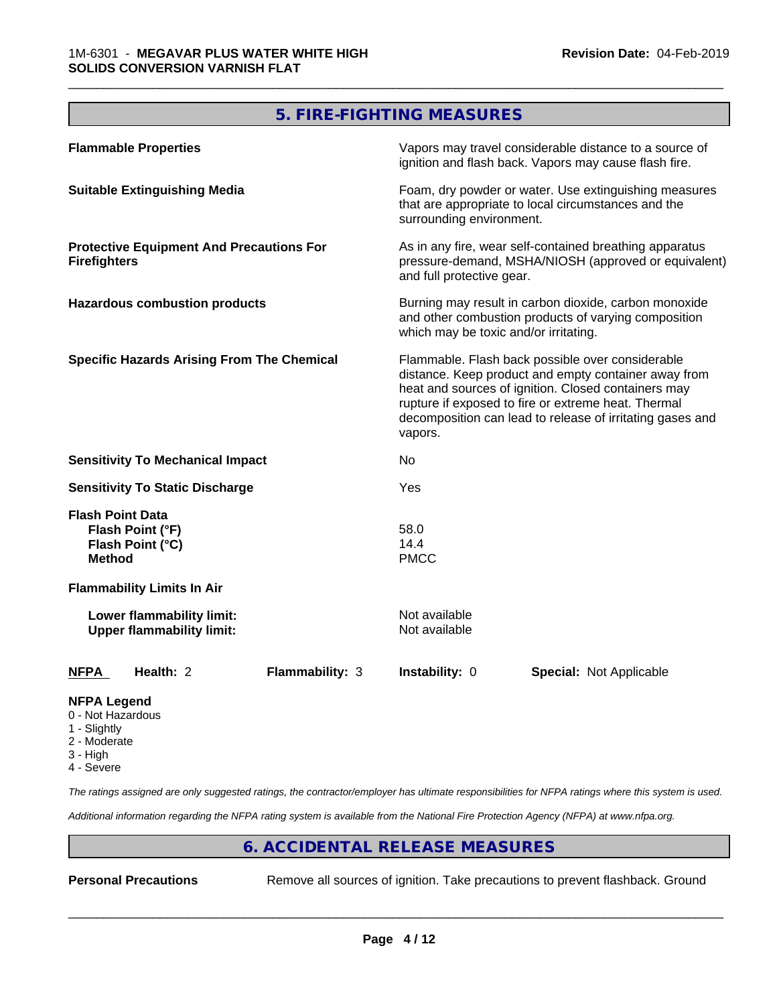# **5. FIRE-FIGHTING MEASURES**

\_\_\_\_\_\_\_\_\_\_\_\_\_\_\_\_\_\_\_\_\_\_\_\_\_\_\_\_\_\_\_\_\_\_\_\_\_\_\_\_\_\_\_\_\_\_\_\_\_\_\_\_\_\_\_\_\_\_\_\_\_\_\_\_\_\_\_\_\_\_\_\_\_\_\_\_\_\_\_\_\_\_\_\_\_\_\_\_\_\_\_\_\_

| <b>Flammable Properties</b>                                                                                                                                                                                                                                                                                                                         | Vapors may travel considerable distance to a source of<br>ignition and flash back. Vapors may cause flash fire.                                        |  |
|-----------------------------------------------------------------------------------------------------------------------------------------------------------------------------------------------------------------------------------------------------------------------------------------------------------------------------------------------------|--------------------------------------------------------------------------------------------------------------------------------------------------------|--|
| <b>Suitable Extinguishing Media</b>                                                                                                                                                                                                                                                                                                                 | Foam, dry powder or water. Use extinguishing measures<br>that are appropriate to local circumstances and the<br>surrounding environment.               |  |
| <b>Protective Equipment And Precautions For</b><br><b>Firefighters</b>                                                                                                                                                                                                                                                                              | As in any fire, wear self-contained breathing apparatus<br>pressure-demand, MSHA/NIOSH (approved or equivalent)<br>and full protective gear.           |  |
| <b>Hazardous combustion products</b>                                                                                                                                                                                                                                                                                                                | Burning may result in carbon dioxide, carbon monoxide<br>and other combustion products of varying composition<br>which may be toxic and/or irritating. |  |
| <b>Specific Hazards Arising From The Chemical</b><br>Flammable. Flash back possible over considerable<br>distance. Keep product and empty container away from<br>heat and sources of ignition. Closed containers may<br>rupture if exposed to fire or extreme heat. Thermal<br>decomposition can lead to release of irritating gases and<br>vapors. |                                                                                                                                                        |  |
| <b>Sensitivity To Mechanical Impact</b>                                                                                                                                                                                                                                                                                                             | No.                                                                                                                                                    |  |
| <b>Sensitivity To Static Discharge</b>                                                                                                                                                                                                                                                                                                              | Yes                                                                                                                                                    |  |
| <b>Flash Point Data</b><br>Flash Point (°F)<br>Flash Point (°C)<br><b>Method</b>                                                                                                                                                                                                                                                                    | 58.0<br>14.4<br><b>PMCC</b>                                                                                                                            |  |
| <b>Flammability Limits In Air</b>                                                                                                                                                                                                                                                                                                                   |                                                                                                                                                        |  |
| Lower flammability limit:<br><b>Upper flammability limit:</b>                                                                                                                                                                                                                                                                                       | Not available<br>Not available                                                                                                                         |  |
| Health: 2<br>Flammability: 3<br><b>NFPA</b>                                                                                                                                                                                                                                                                                                         | Instability: 0<br><b>Special: Not Applicable</b>                                                                                                       |  |
| <b>NFPA Legend</b><br>0 - Not Hazardous                                                                                                                                                                                                                                                                                                             |                                                                                                                                                        |  |

- 1 Slightly
- 2 Moderate
- 3 High
- 4 Severe

*The ratings assigned are only suggested ratings, the contractor/employer has ultimate responsibilities for NFPA ratings where this system is used.*

*Additional information regarding the NFPA rating system is available from the National Fire Protection Agency (NFPA) at www.nfpa.org.*

# **6. ACCIDENTAL RELEASE MEASURES**

**Personal Precautions** Remove all sources of ignition. Take precautions to prevent flashback. Ground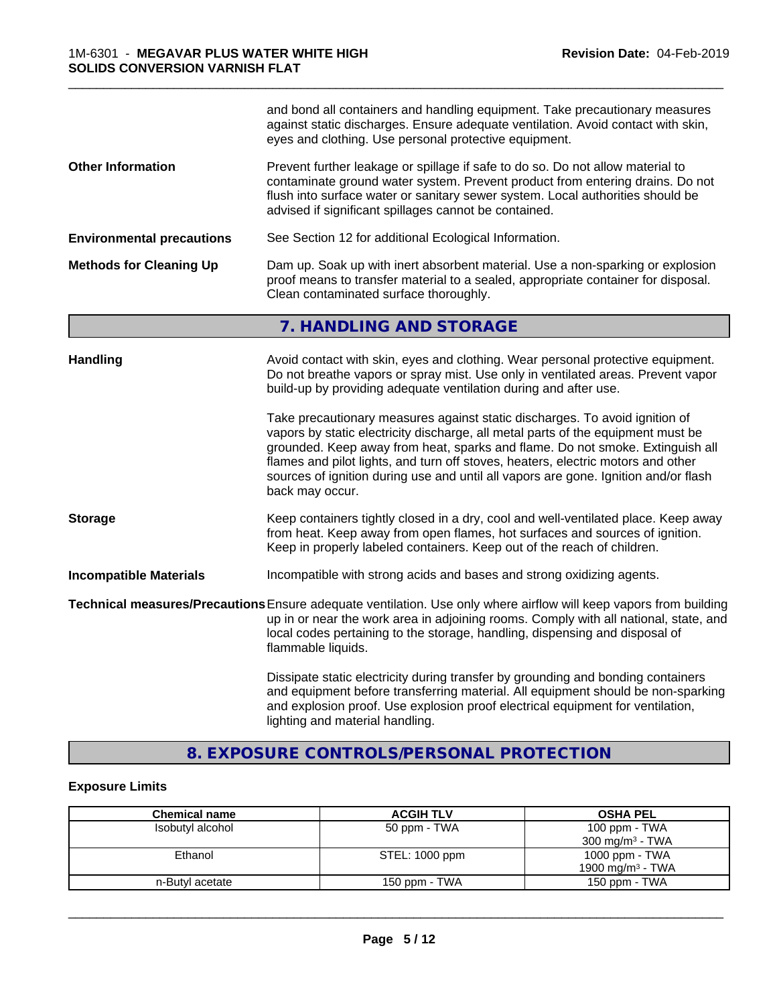|                                  | and bond all containers and handling equipment. Take precautionary measures<br>against static discharges. Ensure adequate ventilation. Avoid contact with skin,<br>eyes and clothing. Use personal protective equipment.                                                                                                                                                                                                                       |  |
|----------------------------------|------------------------------------------------------------------------------------------------------------------------------------------------------------------------------------------------------------------------------------------------------------------------------------------------------------------------------------------------------------------------------------------------------------------------------------------------|--|
| <b>Other Information</b>         | Prevent further leakage or spillage if safe to do so. Do not allow material to<br>contaminate ground water system. Prevent product from entering drains. Do not<br>flush into surface water or sanitary sewer system. Local authorities should be<br>advised if significant spillages cannot be contained.                                                                                                                                     |  |
| <b>Environmental precautions</b> | See Section 12 for additional Ecological Information.                                                                                                                                                                                                                                                                                                                                                                                          |  |
| <b>Methods for Cleaning Up</b>   | Dam up. Soak up with inert absorbent material. Use a non-sparking or explosion<br>proof means to transfer material to a sealed, appropriate container for disposal.<br>Clean contaminated surface thoroughly.                                                                                                                                                                                                                                  |  |
|                                  | 7. HANDLING AND STORAGE                                                                                                                                                                                                                                                                                                                                                                                                                        |  |
| <b>Handling</b>                  | Avoid contact with skin, eyes and clothing. Wear personal protective equipment.<br>Do not breathe vapors or spray mist. Use only in ventilated areas. Prevent vapor<br>build-up by providing adequate ventilation during and after use.                                                                                                                                                                                                        |  |
|                                  | Take precautionary measures against static discharges. To avoid ignition of<br>vapors by static electricity discharge, all metal parts of the equipment must be<br>grounded. Keep away from heat, sparks and flame. Do not smoke. Extinguish all<br>flames and pilot lights, and turn off stoves, heaters, electric motors and other<br>sources of ignition during use and until all vapors are gone. Ignition and/or flash<br>back may occur. |  |
| <b>Storage</b>                   | Keep containers tightly closed in a dry, cool and well-ventilated place. Keep away<br>from heat. Keep away from open flames, hot surfaces and sources of ignition.<br>Keep in properly labeled containers. Keep out of the reach of children.                                                                                                                                                                                                  |  |
| <b>Incompatible Materials</b>    | Incompatible with strong acids and bases and strong oxidizing agents.                                                                                                                                                                                                                                                                                                                                                                          |  |
|                                  | Technical measures/Precautions Ensure adequate ventilation. Use only where airflow will keep vapors from building<br>up in or near the work area in adjoining rooms. Comply with all national, state, and<br>local codes pertaining to the storage, handling, dispensing and disposal of<br>flammable liquids.                                                                                                                                 |  |
|                                  | Dissipate static electricity during transfer by grounding and bonding containers<br>and equipment before transferring material. All equipment should be non-sparking<br>and explosion proof. Use explosion proof electrical equipment for ventilation,<br>lighting and material handling.                                                                                                                                                      |  |

\_\_\_\_\_\_\_\_\_\_\_\_\_\_\_\_\_\_\_\_\_\_\_\_\_\_\_\_\_\_\_\_\_\_\_\_\_\_\_\_\_\_\_\_\_\_\_\_\_\_\_\_\_\_\_\_\_\_\_\_\_\_\_\_\_\_\_\_\_\_\_\_\_\_\_\_\_\_\_\_\_\_\_\_\_\_\_\_\_\_\_\_\_

# **8. EXPOSURE CONTROLS/PERSONAL PROTECTION**

# **Exposure Limits**

| <b>Chemical name</b> | <b>ACGIH TLV</b> | <b>OSHA PEL</b>              |
|----------------------|------------------|------------------------------|
| Isobutyl alcohol     | 50 ppm - TWA     | 100 ppm - TWA                |
|                      |                  | $300 \text{ mg/m}^3$ - TWA   |
| Ethanol              | STEL: 1000 ppm   | 1000 ppm - TWA               |
|                      |                  | 1900 mg/m <sup>3</sup> - TWA |
| n-Butyl acetate      | 150 ppm - TWA    | 150 ppm - TWA                |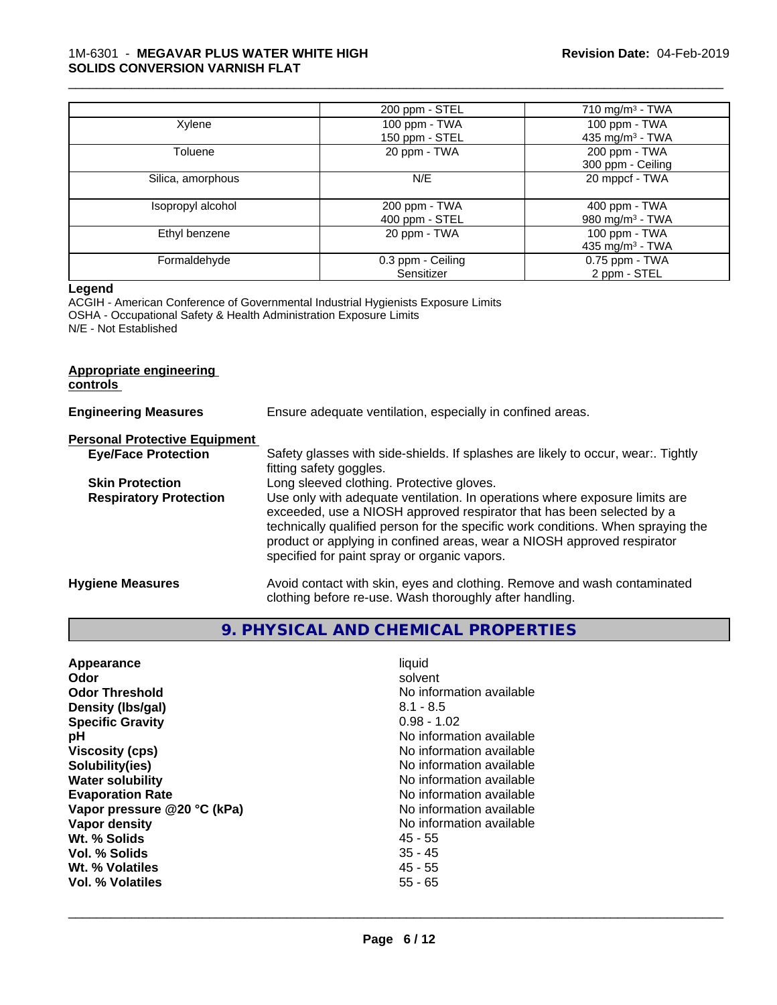#### 1M-6301 - **MEGAVAR PLUS WATER WHITE HIGH SOLIDS CONVERSION VARNISH FLAT**

|                   | 200 ppm - STEL    | 710 mg/m $3$ - TWA          |
|-------------------|-------------------|-----------------------------|
| Xylene            | 100 ppm - TWA     | 100 ppm - TWA               |
|                   | 150 ppm - STEL    | 435 mg/m <sup>3</sup> - TWA |
| Toluene           | 20 ppm - TWA      | 200 ppm - TWA               |
|                   |                   | 300 ppm - Ceiling           |
| Silica, amorphous | N/E               | 20 mppcf - TWA              |
|                   |                   |                             |
| Isopropyl alcohol | 200 ppm - TWA     | 400 ppm - TWA               |
|                   | 400 ppm - STEL    | 980 mg/m $3$ - TWA          |
| Ethyl benzene     | 20 ppm - TWA      | 100 ppm - TWA               |
|                   |                   | 435 mg/m <sup>3</sup> - TWA |
| Formaldehyde      | 0.3 ppm - Ceiling | 0.75 ppm - TWA              |
|                   | Sensitizer        | 2 ppm - STEL                |

\_\_\_\_\_\_\_\_\_\_\_\_\_\_\_\_\_\_\_\_\_\_\_\_\_\_\_\_\_\_\_\_\_\_\_\_\_\_\_\_\_\_\_\_\_\_\_\_\_\_\_\_\_\_\_\_\_\_\_\_\_\_\_\_\_\_\_\_\_\_\_\_\_\_\_\_\_\_\_\_\_\_\_\_\_\_\_\_\_\_\_\_\_

#### **Legend**

ACGIH - American Conference of Governmental Industrial Hygienists Exposure Limits OSHA - Occupational Safety & Health Administration Exposure Limits N/E - Not Established

#### **Appropriate engineering controls**

| <b>Engineering Measures</b>          | Ensure adequate ventilation, especially in confined areas.                                                                                                                                                                                                                                                                                                          |
|--------------------------------------|---------------------------------------------------------------------------------------------------------------------------------------------------------------------------------------------------------------------------------------------------------------------------------------------------------------------------------------------------------------------|
| <b>Personal Protective Equipment</b> |                                                                                                                                                                                                                                                                                                                                                                     |
| <b>Eye/Face Protection</b>           | Safety glasses with side-shields. If splashes are likely to occur, wear:. Tightly<br>fitting safety goggles.                                                                                                                                                                                                                                                        |
| <b>Skin Protection</b>               | Long sleeved clothing. Protective gloves.                                                                                                                                                                                                                                                                                                                           |
| <b>Respiratory Protection</b>        | Use only with adequate ventilation. In operations where exposure limits are<br>exceeded, use a NIOSH approved respirator that has been selected by a<br>technically qualified person for the specific work conditions. When spraying the<br>product or applying in confined areas, wear a NIOSH approved respirator<br>specified for paint spray or organic vapors. |
| <b>Hygiene Measures</b>              | Avoid contact with skin, eyes and clothing. Remove and wash contaminated<br>clothing before re-use. Wash thoroughly after handling.                                                                                                                                                                                                                                 |

# **9. PHYSICAL AND CHEMICAL PROPERTIES**

| Appearance<br>Odor<br><b>Odor Threshold</b><br>Density (Ibs/gal)<br><b>Specific Gravity</b><br>рH<br><b>Viscosity (cps)</b><br>Solubility(ies)<br><b>Water solubility</b><br><b>Evaporation Rate</b> | liquid<br>solvent<br>No information available<br>$8.1 - 8.5$<br>$0.98 - 1.02$<br>No information available<br>No information available<br>No information available<br>No information available<br>No information available |
|------------------------------------------------------------------------------------------------------------------------------------------------------------------------------------------------------|---------------------------------------------------------------------------------------------------------------------------------------------------------------------------------------------------------------------------|
|                                                                                                                                                                                                      |                                                                                                                                                                                                                           |
|                                                                                                                                                                                                      |                                                                                                                                                                                                                           |
|                                                                                                                                                                                                      |                                                                                                                                                                                                                           |
|                                                                                                                                                                                                      |                                                                                                                                                                                                                           |
|                                                                                                                                                                                                      |                                                                                                                                                                                                                           |
| Vapor pressure @20 °C (kPa)                                                                                                                                                                          | No information available                                                                                                                                                                                                  |
| Vapor density                                                                                                                                                                                        | No information available                                                                                                                                                                                                  |
| Wt. % Solids                                                                                                                                                                                         | 45 - 55                                                                                                                                                                                                                   |
| Vol. % Solids                                                                                                                                                                                        | $35 - 45$                                                                                                                                                                                                                 |
| Wt. % Volatiles                                                                                                                                                                                      | $45 - 55$                                                                                                                                                                                                                 |
| Vol. % Volatiles                                                                                                                                                                                     | $55 - 65$                                                                                                                                                                                                                 |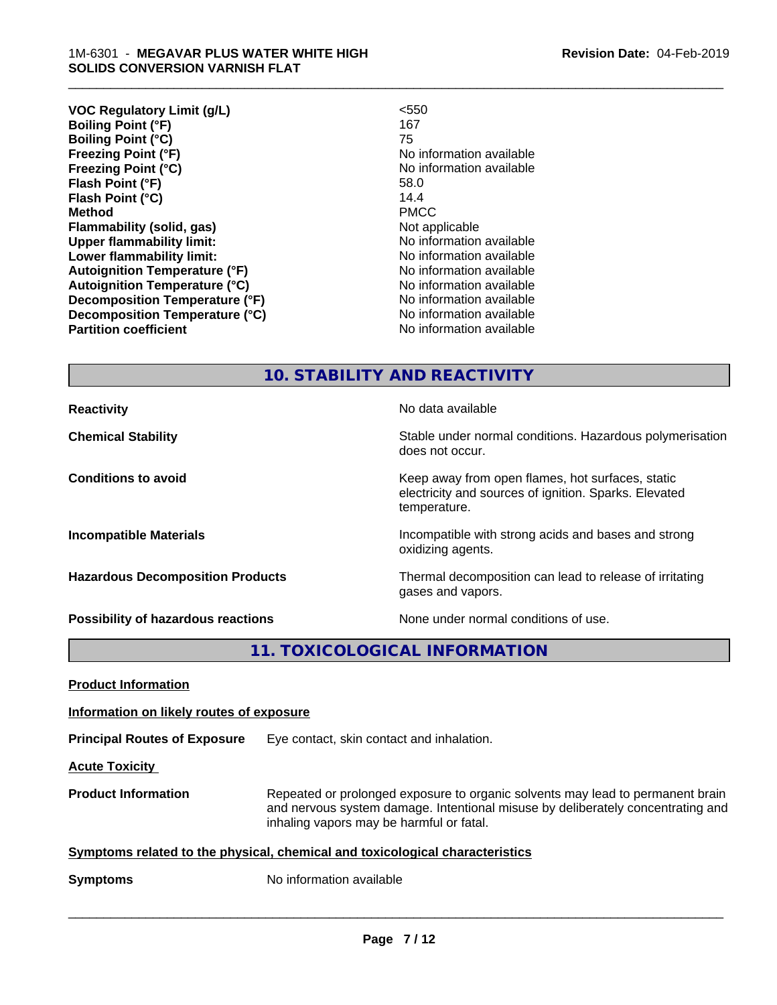| < 550                    |
|--------------------------|
| 167                      |
| 75                       |
| No information available |
| No information available |
| 58.0                     |
| 14.4                     |
| <b>PMCC</b>              |
| Not applicable           |
| No information available |
| No information available |
| No information available |
| No information available |
| No information available |
| No information available |
| No information available |
|                          |

\_\_\_\_\_\_\_\_\_\_\_\_\_\_\_\_\_\_\_\_\_\_\_\_\_\_\_\_\_\_\_\_\_\_\_\_\_\_\_\_\_\_\_\_\_\_\_\_\_\_\_\_\_\_\_\_\_\_\_\_\_\_\_\_\_\_\_\_\_\_\_\_\_\_\_\_\_\_\_\_\_\_\_\_\_\_\_\_\_\_\_\_\_

### **10. STABILITY AND REACTIVITY**

does not occur.

temperature.

oxidizing agents.

gases and vapors.

electricity and sources of ignition. Sparks. Elevated

**Reactivity No data available Chemical Stability Stability** Stable under normal conditions. Hazardous polymerisation

**Conditions to avoid Keep away from open flames, hot surfaces, static conditions to avoid** 

**Incompatible Materials Incompatible with strong acids and bases and strong** 

**Hazardous Decomposition Products** Thermal decomposition can lead to release of irritating

**Possibility of hazardous reactions** None under normal conditions of use.

**11. TOXICOLOGICAL INFORMATION**

**Product Information**

**Information on likely routes of exposure**

**Principal Routes of Exposure** Eye contact, skin contact and inhalation.

**Acute Toxicity** 

**Product Information** Repeated or prolonged exposure to organic solvents may lead to permanent brain and nervous system damage. Intentional misuse by deliberately concentrating and inhaling vapors may be harmful or fatal.

 $\overline{\phantom{a}}$  ,  $\overline{\phantom{a}}$  ,  $\overline{\phantom{a}}$  ,  $\overline{\phantom{a}}$  ,  $\overline{\phantom{a}}$  ,  $\overline{\phantom{a}}$  ,  $\overline{\phantom{a}}$  ,  $\overline{\phantom{a}}$  ,  $\overline{\phantom{a}}$  ,  $\overline{\phantom{a}}$  ,  $\overline{\phantom{a}}$  ,  $\overline{\phantom{a}}$  ,  $\overline{\phantom{a}}$  ,  $\overline{\phantom{a}}$  ,  $\overline{\phantom{a}}$  ,  $\overline{\phantom{a}}$ 

**Symptoms** related to the physical, chemical and toxicological characteristics

**Symptoms** No information available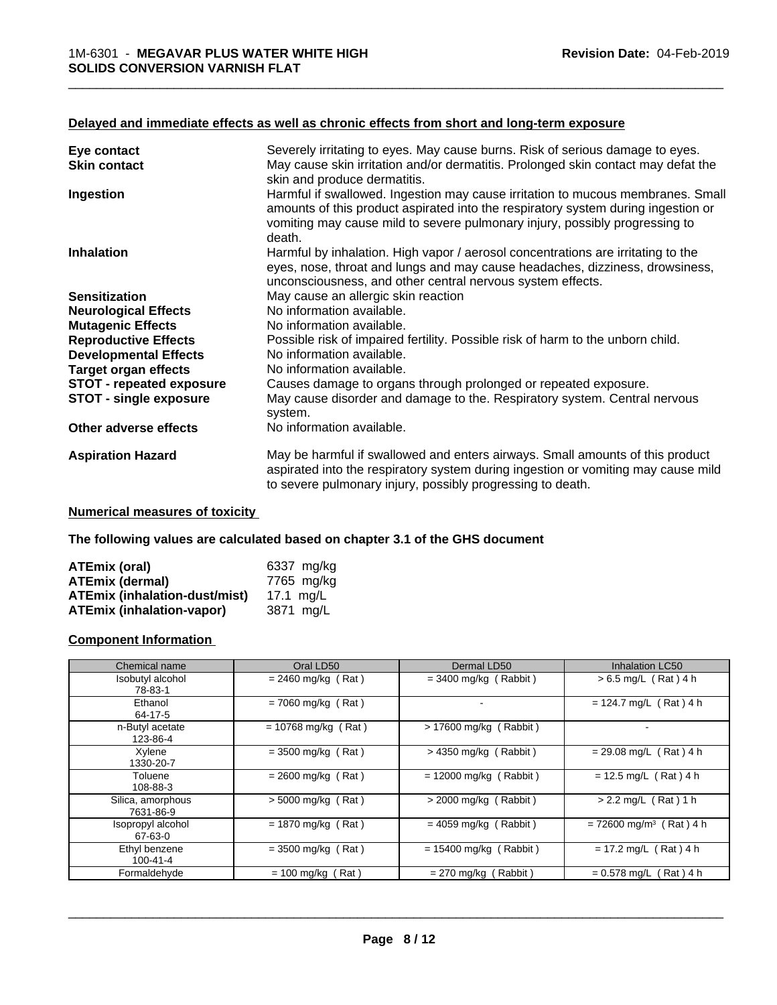#### **Delayed and immediate effects as well as chronic effects from short and long-term exposure**

| Eye contact                     | Severely irritating to eyes. May cause burns. Risk of serious damage to eyes.                                                                                                                                                                       |
|---------------------------------|-----------------------------------------------------------------------------------------------------------------------------------------------------------------------------------------------------------------------------------------------------|
| <b>Skin contact</b>             | May cause skin irritation and/or dermatitis. Prolonged skin contact may defat the<br>skin and produce dermatitis.                                                                                                                                   |
| Ingestion                       | Harmful if swallowed. Ingestion may cause irritation to mucous membranes. Small<br>amounts of this product aspirated into the respiratory system during ingestion or<br>vomiting may cause mild to severe pulmonary injury, possibly progressing to |
| <b>Inhalation</b>               | death.<br>Harmful by inhalation. High vapor / aerosol concentrations are irritating to the                                                                                                                                                          |
|                                 | eyes, nose, throat and lungs and may cause headaches, dizziness, drowsiness,<br>unconsciousness, and other central nervous system effects.                                                                                                          |
| <b>Sensitization</b>            | May cause an allergic skin reaction                                                                                                                                                                                                                 |
| <b>Neurological Effects</b>     | No information available.                                                                                                                                                                                                                           |
| <b>Mutagenic Effects</b>        | No information available.                                                                                                                                                                                                                           |
| <b>Reproductive Effects</b>     | Possible risk of impaired fertility. Possible risk of harm to the unborn child.                                                                                                                                                                     |
| <b>Developmental Effects</b>    | No information available.                                                                                                                                                                                                                           |
| <b>Target organ effects</b>     | No information available.                                                                                                                                                                                                                           |
| <b>STOT - repeated exposure</b> | Causes damage to organs through prolonged or repeated exposure.                                                                                                                                                                                     |
| <b>STOT - single exposure</b>   | May cause disorder and damage to the. Respiratory system. Central nervous<br>system.                                                                                                                                                                |
| Other adverse effects           | No information available.                                                                                                                                                                                                                           |
| <b>Aspiration Hazard</b>        | May be harmful if swallowed and enters airways. Small amounts of this product<br>aspirated into the respiratory system during ingestion or vomiting may cause mild<br>to severe pulmonary injury, possibly progressing to death.                    |

#### **Numerical measures of toxicity**

**The following values are calculated based on chapter 3.1 of the GHS document**

| ATEmix (oral)                        | 6337 mg/ka |
|--------------------------------------|------------|
| <b>ATEmix (dermal)</b>               | 7765 mg/kg |
| <b>ATEmix (inhalation-dust/mist)</b> | 17.1 ma/L  |
| <b>ATEmix (inhalation-vapor)</b>     | 3871 ma/L  |

#### **Component Information**

| Chemical name                   | Oral LD50             | Dermal LD50              | Inhalation LC50                       |
|---------------------------------|-----------------------|--------------------------|---------------------------------------|
| Isobutyl alcohol<br>78-83-1     | $= 2460$ mg/kg (Rat)  | $=$ 3400 mg/kg (Rabbit)  | $> 6.5$ mg/L (Rat) 4 h                |
| Ethanol<br>64-17-5              | $= 7060$ mg/kg (Rat)  | ۰                        | $= 124.7$ mg/L (Rat) 4 h              |
| n-Butyl acetate<br>123-86-4     | $= 10768$ mg/kg (Rat) | > 17600 mg/kg (Rabbit)   |                                       |
| Xylene<br>1330-20-7             | $= 3500$ mg/kg (Rat)  | $>$ 4350 mg/kg (Rabbit)  | $= 29.08$ mg/L (Rat) 4 h              |
| Toluene<br>108-88-3             | $= 2600$ mg/kg (Rat)  | $= 12000$ mg/kg (Rabbit) | $= 12.5$ mg/L (Rat) 4 h               |
| Silica, amorphous<br>7631-86-9  | $> 5000$ mg/kg (Rat)  | $>$ 2000 mg/kg (Rabbit)  | $> 2.2$ mg/L (Rat) 1 h                |
| Isopropyl alcohol<br>67-63-0    | $= 1870$ mg/kg (Rat)  | $= 4059$ mg/kg (Rabbit)  | $= 72600$ mg/m <sup>3</sup> (Rat) 4 h |
| Ethyl benzene<br>$100 - 41 - 4$ | $= 3500$ mg/kg (Rat)  | $= 15400$ mg/kg (Rabbit) | $= 17.2$ mg/L (Rat) 4 h               |
| Formaldehyde                    | $= 100$ mg/kg (Rat)   | (Rabbit)<br>= 270 mg/kg  | $= 0.578$ mg/L (Rat) 4 h              |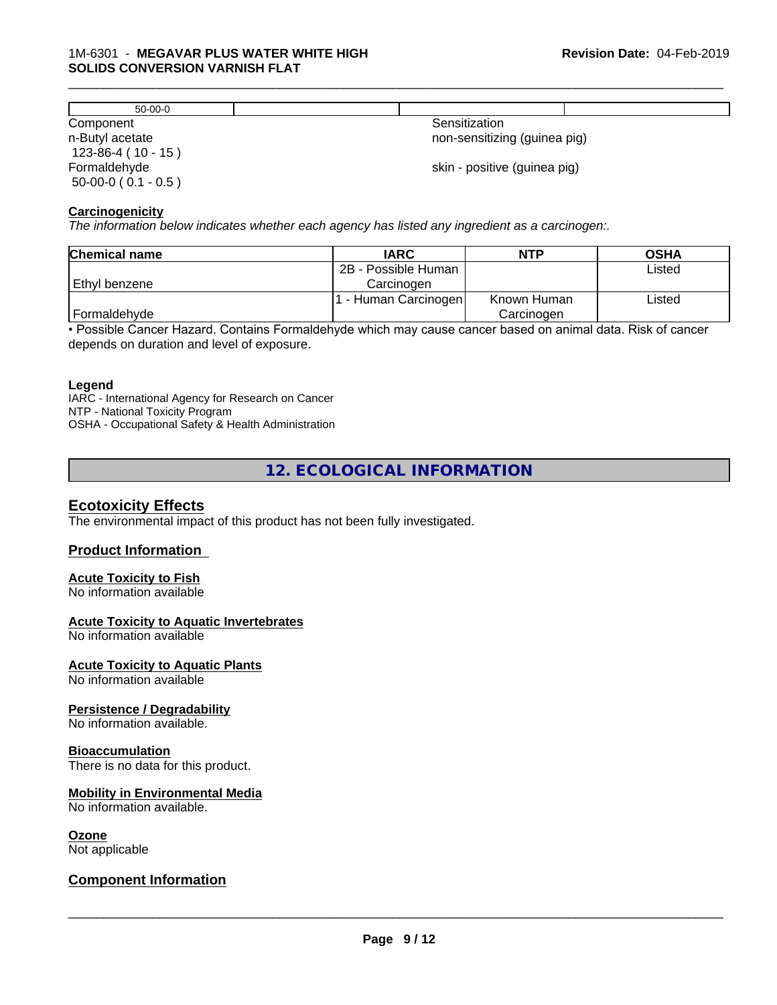| $50-00-0$                            |                              |
|--------------------------------------|------------------------------|
| Component                            | Sensitization                |
| n-Butyl acetate<br>$123-86-4(10-15)$ | non-sensitizing (guinea pig) |
| Formaldehyde                         | skin - positive (guinea pig) |
| $50-00-0$ ( $0.1 - 0.5$ )            |                              |

\_\_\_\_\_\_\_\_\_\_\_\_\_\_\_\_\_\_\_\_\_\_\_\_\_\_\_\_\_\_\_\_\_\_\_\_\_\_\_\_\_\_\_\_\_\_\_\_\_\_\_\_\_\_\_\_\_\_\_\_\_\_\_\_\_\_\_\_\_\_\_\_\_\_\_\_\_\_\_\_\_\_\_\_\_\_\_\_\_\_\_\_\_

#### **Carcinogenicity**

*The information below indicateswhether each agency has listed any ingredient as a carcinogen:.*

| <b>Chemical name</b> | <b>IARC</b>         | <b>NTP</b>  | <b>OSHA</b> |
|----------------------|---------------------|-------------|-------------|
|                      | 2B - Possible Human |             | Listed      |
| Ethyl benzene        | Carcinoɑen          |             |             |
|                      | - Human Carcinogen  | Known Human | Listed      |
| Formaldehyde         |                     | Carcinogen  |             |

• Possible Cancer Hazard. Contains Formaldehyde which may cause cancer based on animal data. Risk of cancer depends on duration and level of exposure.

#### **Legend**

IARC - International Agency for Research on Cancer NTP - National Toxicity Program OSHA - Occupational Safety & Health Administration

**12. ECOLOGICAL INFORMATION**

#### **Ecotoxicity Effects**

The environmental impact of this product has not been fully investigated.

#### **Product Information**

#### **Acute Toxicity to Fish**

No information available

#### **Acute Toxicity to Aquatic Invertebrates**

No information available

#### **Acute Toxicity to Aquatic Plants**

No information available

#### **Persistence / Degradability**

No information available.

#### **Bioaccumulation**

There is no data for this product.

#### **Mobility in Environmental Media**

No information available.

#### **Ozone**

Not applicable

#### **Component Information**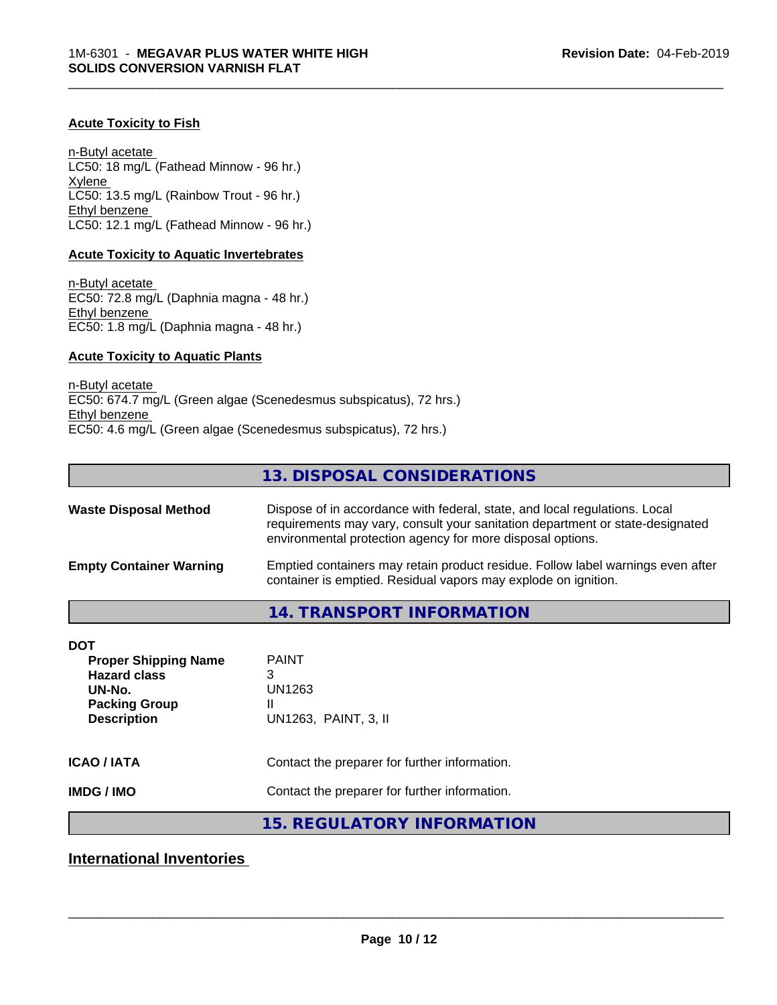#### **Acute Toxicity to Fish**

n-Butyl acetate LC50: 18 mg/L (Fathead Minnow - 96 hr.) Xylene LC50: 13.5 mg/L (Rainbow Trout - 96 hr.) Ethyl benzene LC50: 12.1 mg/L (Fathead Minnow - 96 hr.)

#### **Acute Toxicity to Aquatic Invertebrates**

n-Butyl acetate EC50: 72.8 mg/L (Daphnia magna - 48 hr.) Ethyl benzene EC50: 1.8 mg/L (Daphnia magna - 48 hr.)

#### **Acute Toxicity to Aquatic Plants**

n-Butyl acetate EC50: 674.7 mg/L (Green algae (Scenedesmus subspicatus), 72 hrs.) Ethyl benzene EC50: 4.6 mg/L (Green algae (Scenedesmus subspicatus), 72 hrs.)

# **13. DISPOSAL CONSIDERATIONS**

\_\_\_\_\_\_\_\_\_\_\_\_\_\_\_\_\_\_\_\_\_\_\_\_\_\_\_\_\_\_\_\_\_\_\_\_\_\_\_\_\_\_\_\_\_\_\_\_\_\_\_\_\_\_\_\_\_\_\_\_\_\_\_\_\_\_\_\_\_\_\_\_\_\_\_\_\_\_\_\_\_\_\_\_\_\_\_\_\_\_\_\_\_

| <b>Waste Disposal Method</b>   | Dispose of in accordance with federal, state, and local regulations. Local<br>requirements may vary, consult your sanitation department or state-designated<br>environmental protection agency for more disposal options. |
|--------------------------------|---------------------------------------------------------------------------------------------------------------------------------------------------------------------------------------------------------------------------|
| <b>Empty Container Warning</b> | Emptied containers may retain product residue. Follow label warnings even after<br>container is emptied. Residual vapors may explode on ignition.                                                                         |

# **14. TRANSPORT INFORMATION**

| DOT<br><b>Proper Shipping Name</b><br><b>Hazard class</b><br>UN-No.<br><b>Packing Group</b><br><b>Description</b> | <b>PAINT</b><br>3<br>UN1263<br>Ш<br>UN1263, PAINT, 3, II |
|-------------------------------------------------------------------------------------------------------------------|----------------------------------------------------------|
| <b>ICAO/IATA</b>                                                                                                  | Contact the preparer for further information.            |
| <b>IMDG/IMO</b>                                                                                                   | Contact the preparer for further information.            |

# **15. REGULATORY INFORMATION**

**International Inventories**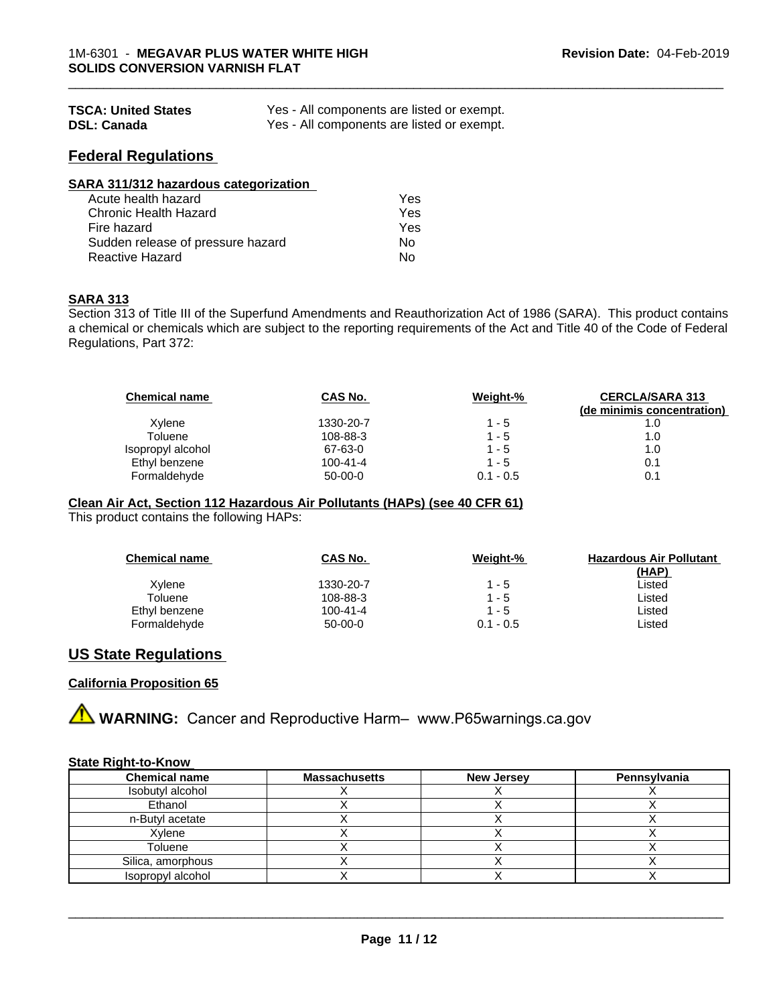| <b>TSCA: United States</b> | Yes - All components are listed or exempt. |
|----------------------------|--------------------------------------------|
| <b>DSL: Canada</b>         | Yes - All components are listed or exempt. |

## **Federal Regulations**

| SARA 311/312 hazardous categorization |     |  |
|---------------------------------------|-----|--|
| Acute health hazard                   | Yes |  |
| Chronic Health Hazard                 | Yes |  |
| Fire hazard                           | Yes |  |
| Sudden release of pressure hazard     | No  |  |
| <b>Reactive Hazard</b>                | No  |  |

#### **SARA 313**

Section 313 of Title III of the Superfund Amendments and Reauthorization Act of 1986 (SARA). This product contains a chemical or chemicals which are subject to the reporting requirements of the Act and Title 40 of the Code of Federal Regulations, Part 372:

| <b>Chemical name</b> | CAS No.   | Weight-%    | <b>CERCLA/SARA 313</b><br>(de minimis concentration) |
|----------------------|-----------|-------------|------------------------------------------------------|
| Xylene               | 1330-20-7 | 1 - 5       | 1.0                                                  |
| Toluene              | 108-88-3  | $1 - 5$     | 1.0                                                  |
| Isopropyl alcohol    | 67-63-0   | $1 - 5$     | 1.0                                                  |
| Ethyl benzene        | 100-41-4  | $1 - 5$     | 0.1                                                  |
| Formaldehyde         | $50-00-0$ | $0.1 - 0.5$ | 0.1                                                  |

\_\_\_\_\_\_\_\_\_\_\_\_\_\_\_\_\_\_\_\_\_\_\_\_\_\_\_\_\_\_\_\_\_\_\_\_\_\_\_\_\_\_\_\_\_\_\_\_\_\_\_\_\_\_\_\_\_\_\_\_\_\_\_\_\_\_\_\_\_\_\_\_\_\_\_\_\_\_\_\_\_\_\_\_\_\_\_\_\_\_\_\_\_

#### **Clean Air Act,Section 112 Hazardous Air Pollutants (HAPs) (see 40 CFR 61)**

This product contains the following HAPs:

| <b>Chemical name</b> | CAS No.        | Weight-%    | <b>Hazardous Air Pollutant</b> |
|----------------------|----------------|-------------|--------------------------------|
|                      |                |             | (HAP)                          |
| Xylene               | 1330-20-7      | $1 - 5$     | Listed                         |
| Toluene              | 108-88-3       | $1 - 5$     | Listed                         |
| Ethyl benzene        | $100 - 41 - 4$ | $1 - 5$     | Listed                         |
| Formaldehyde         | $50-00-0$      | $0.1 - 0.5$ | ∟isted                         |

#### **US State Regulations**

#### **California Proposition 65**

**A WARNING:** Cancer and Reproductive Harm– www.P65warnings.ca.gov

#### **State Right-to-Know**

| <b>Chemical name</b> | <b>Massachusetts</b> | <b>New Jersey</b> | Pennsylvania |
|----------------------|----------------------|-------------------|--------------|
| Isobutyl alcohol     |                      |                   |              |
| Ethanol              |                      |                   |              |
| n-Butyl acetate      |                      |                   |              |
| Xylene               |                      |                   |              |
| Toluene              |                      |                   |              |
| Silica, amorphous    |                      |                   |              |
| Isopropyl alcohol    |                      |                   |              |